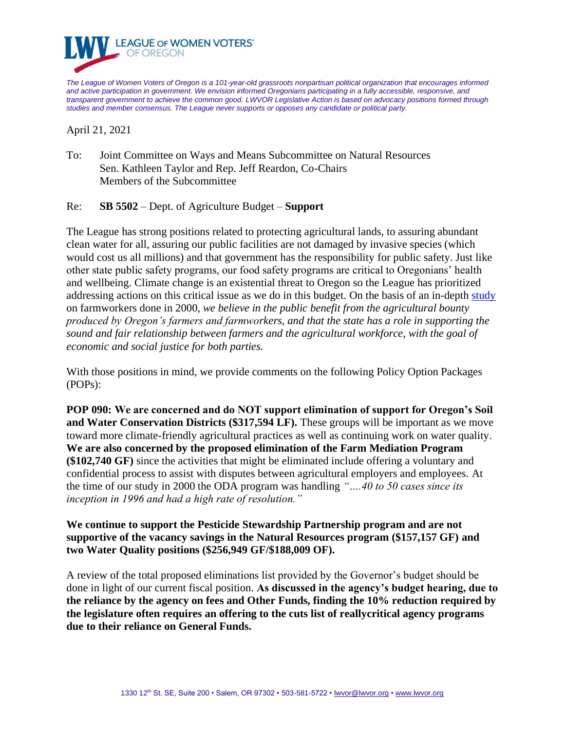

*The League of Women Voters of Oregon is a 101-year-old grassroots nonpartisan political organization that encourages informed and active participation in government. We envision informed Oregonians participating in a fully accessible, responsive, and transparent government to achieve the common good. LWVOR Legislative Action is based on advocacy positions formed through studies and member consensus. The League never supports or opposes any candidate or political party.*

April 21, 2021

To: Joint Committee on Ways and Means Subcommittee on Natural Resources Sen. Kathleen Taylor and Rep. Jeff Reardon, Co-Chairs Members of the Subcommittee

Re: **SB 5502** – Dept. of Agriculture Budget – **Support**

The League has strong positions related to protecting agricultural lands, to assuring abundant clean water for all, assuring our public facilities are not damaged by invasive species (which would cost us all millions) and that government has the responsibility for public safety. Just like other state public safety programs, our food safety programs are critical to Oregonians' health and wellbeing. Climate change is an existential threat to Oregon so the League has prioritized addressing actions on this critical issue as we do in this budget. On the basis of an in-depth [study](https://fab67f44-53c0-4d55-8f3f-38f29e9a1504.filesusr.com/ugd/54a310_d893d6f2e6004faeb7370807c3c89c50.pdf) on farmworkers done in 2000, *we believe in the public benefit from the agricultural bounty produced by Oregon's farmers and farmworkers, and that the state has a role in supporting the sound and fair relationship between farmers and the agricultural workforce, with the goal of economic and social justice for both parties.*

With those positions in mind, we provide comments on the following Policy Option Packages (POPs):

**POP 090: We are concerned and do NOT support elimination of support for Oregon's Soil and Water Conservation Districts (\$317,594 LF).** These groups will be important as we move toward more climate-friendly agricultural practices as well as continuing work on water quality. **We are also concerned by the proposed elimination of the Farm Mediation Program (\$102,740 GF)** since the activities that might be eliminated include offering a voluntary and confidential process to assist with disputes between agricultural employers and employees. At the time of our study in 2000 the ODA program was handling *"….40 to 50 cases since its inception in 1996 and had a high rate of resolution."*

**We continue to support the Pesticide Stewardship Partnership program and are not supportive of the vacancy savings in the Natural Resources program (\$157,157 GF) and two Water Quality positions (\$256,949 GF/\$188,009 OF).**

A review of the total proposed eliminations list provided by the Governor's budget should be done in light of our current fiscal position. **As discussed in the agency's budget hearing, due to the reliance by the agency on fees and Other Funds, finding the 10% reduction required by the legislature often requires an offering to the cuts list of reallycritical agency programs due to their reliance on General Funds.**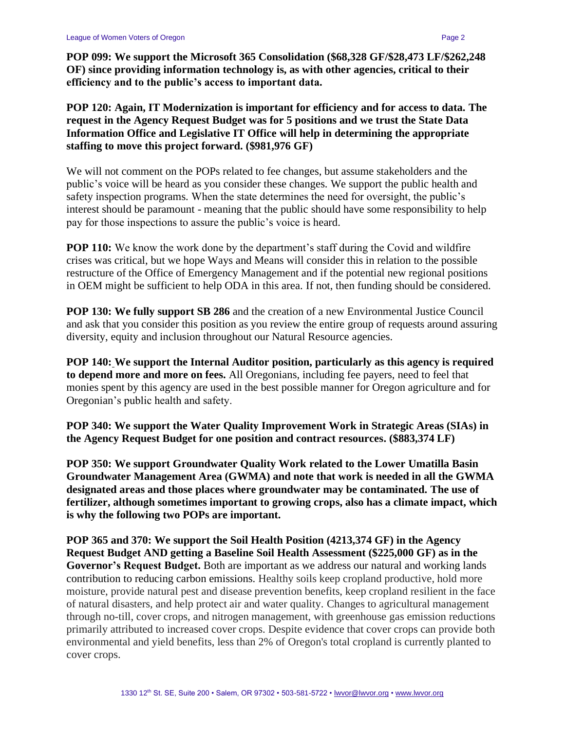**POP 099: We support the Microsoft 365 Consolidation (\$68,328 GF/\$28,473 LF/\$262,248 OF) since providing information technology is, as with other agencies, critical to their efficiency and to the public's access to important data.**

**POP 120: Again, IT Modernization is important for efficiency and for access to data. The request in the Agency Request Budget was for 5 positions and we trust the State Data Information Office and Legislative IT Office will help in determining the appropriate staffing to move this project forward. (\$981,976 GF)**

We will not comment on the POPs related to fee changes, but assume stakeholders and the public's voice will be heard as you consider these changes. We support the public health and safety inspection programs. When the state determines the need for oversight, the public's interest should be paramount - meaning that the public should have some responsibility to help pay for those inspections to assure the public's voice is heard.

**POP 110:** We know the work done by the department's staff during the Covid and wildfire crises was critical, but we hope Ways and Means will consider this in relation to the possible restructure of the Office of Emergency Management and if the potential new regional positions in OEM might be sufficient to help ODA in this area. If not, then funding should be considered.

**POP 130: We fully support SB 286** and the creation of a new Environmental Justice Council and ask that you consider this position as you review the entire group of requests around assuring diversity, equity and inclusion throughout our Natural Resource agencies.

**POP 140: We support the Internal Auditor position, particularly as this agency is required to depend more and more on fees.** All Oregonians, including fee payers, need to feel that monies spent by this agency are used in the best possible manner for Oregon agriculture and for Oregonian's public health and safety.

**POP 340: We support the Water Quality Improvement Work in Strategic Areas (SIAs) in the Agency Request Budget for one position and contract resources. (\$883,374 LF)**

**POP 350: We support Groundwater Quality Work related to the Lower Umatilla Basin Groundwater Management Area (GWMA) and note that work is needed in all the GWMA designated areas and those places where groundwater may be contaminated. The use of fertilizer, although sometimes important to growing crops, also has a climate impact, which is why the following two POPs are important.**

**POP 365 and 370: We support the Soil Health Position (4213,374 GF) in the Agency Request Budget AND getting a Baseline Soil Health Assessment (\$225,000 GF) as in the Governor's Request Budget.** Both are important as we address our natural and working lands contribution to reducing carbon emissions. Healthy soils keep cropland productive, hold more moisture, provide natural pest and disease prevention benefits, keep cropland resilient in the face of natural disasters, and help protect air and water quality. Changes to agricultural management through no-till, cover crops, and nitrogen management, with greenhouse gas emission reductions primarily attributed to increased cover crops. Despite evidence that cover crops can provide both environmental and yield benefits, less than 2% of Oregon's total cropland is currently planted to cover crops.